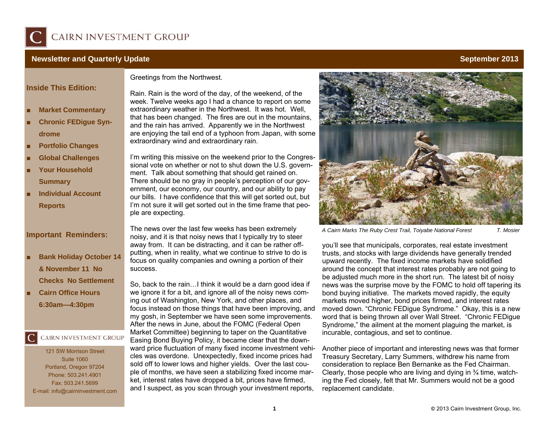

#### **Newsletter and Quarterly Update September 2013 Newsletter and September 2013**

### **Inside This Edition:**

- ■**Market Commentary**
- **EXECUTE: Chronic FEDigue Syn-**■**drome**
- ■**Portfolio Changes**
- **E** Global Challenges ■
- ■ **Your Household Summary**
- ■ **Individual Account Reports**

### **Important Reminders:**

- ■ **Bank Holiday October 14 & November 11 No Checks No Settlement**
- ■ **Cairn Office Hours 6:30am—4:30pm**

## CAIRN INVESTMENT GROUP

121 SW Morrison Street Suite 1060 Portland, Oregon 97204 Phone: 503.241.4901 Fax: 503.241.5699 E-mail: info@cairninvestment.com Greetings from the Northwest.

Rain. Rain is the word of the day, of the weekend, of the week. Twelve weeks ago I had a chance to report on some extraordinary weather in the Northwest. It was hot. Well, that has been changed. The fires are out in the mountains, and the rain has arrived. Apparently we in the Northwest are enjoying the tail end of a typhoon from Japan, with some extraordinary wind and extraordinary rain.

I'm writing this missive on the weekend prior to the Congressional vote on whether or not to shut down the U.S. government. Talk about something that should get rained on. There should be no gray in people's perception of our government, our economy, our country, and our ability to pay our bills. I have confidence that this will get sorted out, but I'm not sure it will get sorted out in the time frame that people are expecting.

The news over the last few weeks has been extremely noisy, and it is that noisy news that I typically try to steer away from. It can be distracting, and it can be rather offputting, when in reality, what we continue to strive to do is focus on quality companies and owning a portion of their success.

So, back to the rain…I think it would be a darn good idea if we ignore it for a bit, and ignore all of the noisy news coming out of Washington, New York, and other places, and focus instead on those things that have been improving, and my gosh, in September we have seen some improvements. After the news in June, about the FOMC (Federal Open Market Committee) beginning to taper on the Quantitative Easing Bond Buying Policy, it became clear that the downward price fluctuation of many fixed income investment vehicles was overdone. Unexpectedly, fixed income prices had sold off to lower lows and higher yields. Over the last couple of months, we have seen a stabilizing fixed income market, interest rates have dropped a bit, prices have firmed, and I suspect, as you scan through your investment reports,



*A Cairn Marks The Ruby Crest Trail, Toiyabe National Forest T. Mosier* 

you'll see that municipals, corporates, real estate investment trusts, and stocks with large dividends have generally trended upward recently. The fixed income markets have solidified around the concept that interest rates probably are not going to be adjusted much more in the short run. The latest bit of noisy news was the surprise move by the FOMC to hold off tapering its bond buying initiative. The markets moved rapidly, the equity markets moved higher, bond prices firmed, and interest rates moved down. "Chronic FEDigue Syndrome." Okay, this is a new word that is being thrown all over Wall Street. "Chronic FEDigue Syndrome," the ailment at the moment plaguing the market, is incurable, contagious, and set to continue.

Another piece of important and interesting news was that former Treasury Secretary, Larry Summers, withdrew his name from consideration to replace Ben Bernanke as the Fed Chairman. Clearly, those people who are living and dying in ¾ time, watching the Fed closely, felt that Mr. Summers would not be a good replacement candidate.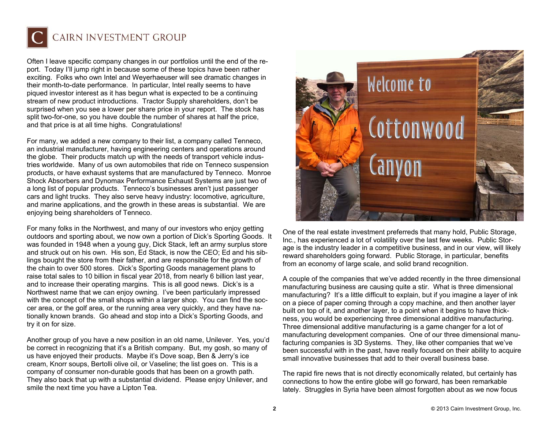

## CAIRN INVESTMENT GROUP

Often I leave specific company changes in our portfolios until the end of the report. Today I'll jump right in because some of these topics have been rather exciting. Folks who own Intel and Weyerhaeuser will see dramatic changes in their month-to-date performance. In particular, Intel really seems to have piqued investor interest as it has begun what is expected to be a continuing stream of new product introductions. Tractor Supply shareholders, don't be surprised when you see a lower per share price in your report. The stock has split two-for-one, so you have double the number of shares at half the price, and that price is at all time highs. Congratulations!

For many, we added a new company to their list, a company called Tenneco, an industrial manufacturer, having engineering centers and operations around the globe. Their products match up with the needs of transport vehicle industries worldwide. Many of us own automobiles that ride on Tenneco suspension products, or have exhaust systems that are manufactured by Tenneco. Monroe Shock Absorbers and Dynomax Performance Exhaust Systems are just two of a long list of popular products. Tenneco's businesses aren't just passenger cars and light trucks. They also serve heavy industry: locomotive, agriculture, and marine applications, and the growth in these areas is substantial. We are enjoying being shareholders of Tenneco.

For many folks in the Northwest, and many of our investors who enjoy getting outdoors and sporting about, we now own a portion of Dick's Sporting Goods. It was founded in 1948 when a young guy, Dick Stack, left an army surplus store and struck out on his own. His son, Ed Stack, is now the CEO; Ed and his siblings bought the store from their father, and are responsible for the growth of the chain to over 500 stores. Dick's Sporting Goods management plans to raise total sales to 10 billion in fiscal year 2018, from nearly 6 billion last year, and to increase their operating margins. This is all good news. Dick's is a Northwest name that we can enjoy owning. I've been particularly impressed with the concept of the small shops within a larger shop. You can find the soccer area, or the golf area, or the running area very quickly, and they have nationally known brands. Go ahead and stop into a Dick's Sporting Goods, and try it on for size.

Another group of you have a new position in an old name, Unilever. Yes, you'd be correct in recognizing that it's a British company. But, my gosh, so many of us have enjoyed their products. Maybe it's Dove soap, Ben & Jerry's ice cream, Knorr soups, Bertolli olive oil, or Vaseline; the list goes on. This is a company of consumer non-durable goods that has been on a growth path. They also back that up with a substantial dividend. Please enjoy Unilever, and smile the next time you have a Lipton Tea.



One of the real estate investment preferreds that many hold, Public Storage, Inc., has experienced a lot of volatility over the last few weeks. Public Storage is the industry leader in a competitive business, and in our view, will likely reward shareholders going forward. Public Storage, in particular, benefits from an economy of large scale, and solid brand recognition.

A couple of the companies that we've added recently in the three dimensional manufacturing business are causing quite a stir. What is three dimensional manufacturing? It's a little difficult to explain, but if you imagine a layer of ink on a piece of paper coming through a copy machine, and then another layer built on top of it, and another layer, to a point when it begins to have thickness, you would be experiencing three dimensional additive manufacturing. Three dimensional additive manufacturing is a game changer for a lot of manufacturing development companies. One of our three dimensional manufacturing companies is 3D Systems. They, like other companies that we've been successful with in the past, have really focused on their ability to acquire small innovative businesses that add to their overall business base.

The rapid fire news that is not directly economically related, but certainly has connections to how the entire globe will go forward, has been remarkable lately. Struggles in Syria have been almost forgotten about as we now focus